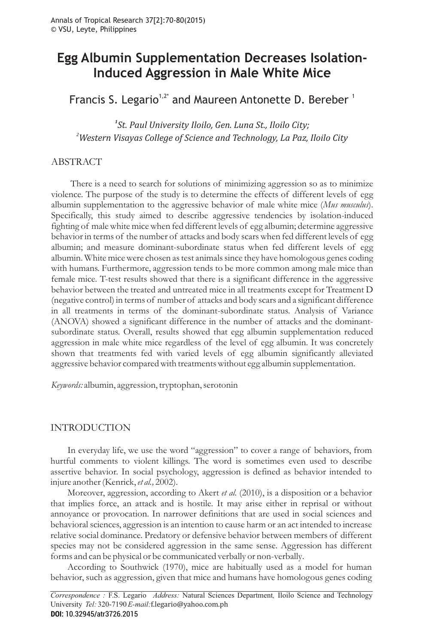# **Egg Albumin Supplementation Decreases Isolation-Induced Aggression in Male White Mice**

Francis S. Legario<sup>1,2\*</sup> and Maureen Antonette D. Bereber<sup>1</sup>

*1 St. Paul University Iloilo, Gen. Luna St., Iloilo City; 2 Western Visayas College of Science and Technology, La Paz, Iloilo City*

# ABSTRACT

There is a need to search for solutions of minimizing aggression so as to minimize violence. The purpose of the study is to determine the effects of different levels of egg albumin supplementation to the aggressive behavior of male white mice (Mus musculus). Specifically, this study aimed to describe aggressive tendencies by isolation-induced fighting of male white mice when fed different levels of egg albumin; determine aggressive behavior in terms of the number of attacks and body scars when fed different levels of egg albumin; and measure dominant-subordinate status when fed different levels of egg albumin. White mice were chosen as test animals since they have homologous genes coding with humans. Furthermore, aggression tends to be more common among male mice than female mice. T-test results showed that there is a significant difference in the aggressive behavior between the treated and untreated mice in all treatments except for Treatment D (negative control) in terms of number of attacks and body scars and a significant difference in all treatments in terms of the dominant-subordinate status. Analysis of Variance (ANOVA) showed a significant difference in the number of attacks and the dominantsubordinate status. Overall, results showed that egg albumin supplementation reduced aggression in male white mice regardless of the level of egg albumin. It was concretely shown that treatments fed with varied levels of egg albumin significantly alleviated aggressive behavior compared with treatments without egg albumin supplementation.

*Keywords:* albumin, aggression, tryptophan, serotonin

# INTRODUCTION

In everyday life, we use the word "aggression" to cover a range of behaviors, from hurtful comments to violent killings. The word is sometimes even used to describe assertive behavior. In social psychology, aggression is defined as behavior intended to injure another (Kenrick, et al., 2002).

Moreover, aggression, according to Akert *et al.* (2010), is a disposition or a behavior that implies force, an attack and is hostile. It may arise either in reprisal or without annoyance or provocation. In narrower definitions that are used in social sciences and behavioral sciences, aggression is an intention to cause harm or an act intended to increase relative social dominance. Predatory or defensive behavior between members of different species may not be considered aggression in the same sense. Aggression has different forms and can be physical or be communicated verbally or non-verbally.

According to Southwick (1970), mice are habitually used as a model for human behavior, such as aggression, given that mice and humans have homologous genes coding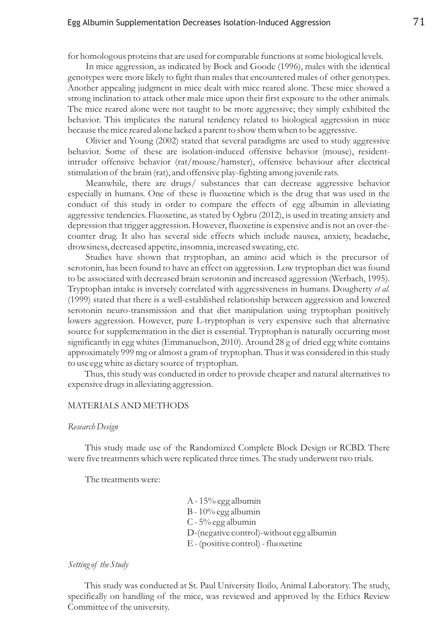# Egg Albumin Supplementation Decreases Isolation-Induced Aggression  $\qquad \qquad \, 71$

for homologous proteins that are used for comparable functions at some biological levels.

In mice aggression, as indicated by Bock and Goode (1996), males with the identical genotypes were more likely to fight than males that encountered males of other genotypes. Another appealing judgment in mice dealt with mice reared alone. These mice showed a strong inclination to attack other male mice upon their first exposure to the other animals. The mice reared alone were not taught to be more aggressive; they simply exhibited the behavior. This implicates the natural tendency related to biological aggression in mice because the mice reared alone lacked a parent to show them when to be aggressive.

Olivier and Young (2002) stated that several paradigms are used to study aggressive behavior. Some of these are isolation-induced offensive behavior (mouse), residentintruder offensive behavior (rat/mouse/hamster), offensive behaviour after electrical stimulation of the brain (rat), and offensive play-fighting among juvenile rats.

Meanwhile, there are drugs/ substances that can decrease aggressive behavior especially in humans. One of these is fluoxetine which is the drug that was used in the conduct of this study in order to compare the effects of egg albumin in alleviating aggressive tendencies. Fluoxetine, as stated by Ogbru (2012), is used in treating anxiety and depression that trigger aggression. However, fluoxetine is expensive and is not an over-thecounter drug. It also has several side effects which include nausea, anxiety, headache, drowsiness, decreased appetite, insomnia, increased sweating, etc.

Studies have shown that tryptophan, an amino acid which is the precursor of serotonin, has been found to have an effect on aggression. Low tryptophan diet was found to be associated with decreased brain serotonin and increased aggression (Werbach, 1995). Tryptophan intake is inversely correlated with aggressiveness in humans. Dougherty *et al.* (1999) stated that there is a well-established relationship between aggression and lowered serotonin neuro-transmission and that diet manipulation using tryptophan positively lowers aggression. However, pure L-tryptophan is very expensive such that alternative source for supplementation in the diet is essential. Tryptophan is naturally occurring most significantly in egg whites (Emmanuelson, 2010). Around 28 g of dried egg white contains approximately 999 mg or almost a gram of tryptophan. Thus it was considered in this study to use egg white as dietary source of tryptophan.

Thus, this study was conducted in order to provide cheaper and natural alternatives to expensive drugs in alleviating aggression.

#### MATERIALS AND METHODS

#### *Research Design*

This study made use of the Randomized Complete Block Design or RCBD. There were five treatments which were replicated three times. The study underwent two trials.

The treatments were:

- A 15% egg albumin
- B 10% egg albumin
- C 5% egg albumin
- D-(negative control)-without egg albumin
- E (positive control) fluoxetine

#### *Setting of the Study*

This study was conducted at St. Paul University Iloilo, Animal Laboratory. The study, specifically on handling of the mice, was reviewed and approved by the Ethics Review Committee of the university.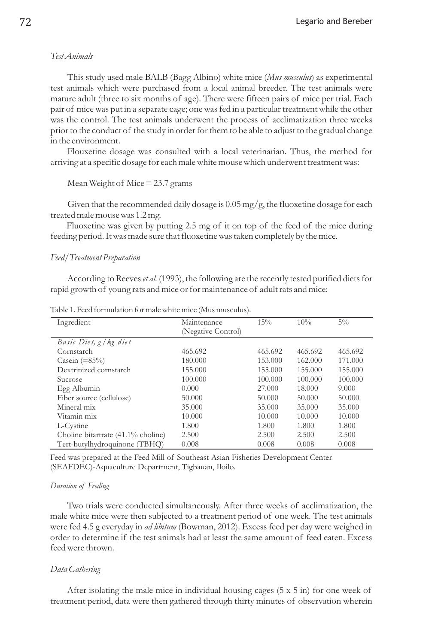## *Test Animals*

This study used male BALB (Bagg Albino) white mice (Mus musculus) as experimental test animals which were purchased from a local animal breeder. The test animals were mature adult (three to six months of age). There were fifteen pairs of mice per trial. Each pair of mice was put in a separate cage; one was fed in a particular treatment while the other was the control. The test animals underwent the process of acclimatization three weeks prior to the conduct of the study in order for them to be able to adjust to the gradual change in the environment.

Flouxetine dosage was consulted with a local veterinarian. Thus, the method for arriving at a specific dosage for each male white mouse which underwent treatment was:

Mean Weight of Mice = 23.7 grams

Given that the recommended daily dosage is  $0.05$  mg/g, the fluoxetine dosage for each treated male mouse was 1.2 mg.

Fluoxetine was given by putting 2.5 mg of it on top of the feed of the mice during feeding period. It was made sure that fluoxetine was taken completely by the mice.

#### *Feed/Treatment Preparation*

According to Reeves *et al.* (1993), the following are the recently tested purified diets for rapid growth of young rats and mice or for maintenance of adult rats and mice:

| Ingredient                         | Maintenance        | 15%     | 10%     | $5\%$   |
|------------------------------------|--------------------|---------|---------|---------|
|                                    | (Negative Control) |         |         |         |
| Basic Diet, $g$ / $kg$ diet        |                    |         |         |         |
| Cornstarch                         | 465.692            | 465.692 | 465.692 | 465.692 |
| Casein $(=85\%)$                   | 180,000            | 153.000 | 162.000 | 171.000 |
| Dextrinized cornstarch             | 155.000            | 155.000 | 155.000 | 155,000 |
| Sucrose                            | 100,000            | 100,000 | 100,000 | 100,000 |
| Egg Albumin                        | 0.000              | 27,000  | 18.000  | 9.000   |
| Fiber source (cellulose)           | 50,000             | 50,000  | 50,000  | 50,000  |
| Mineral mix                        | 35,000             | 35,000  | 35,000  | 35,000  |
| Vitamin mix                        | 10.000             | 10.000  | 10.000  | 10.000  |
| L-Cystine                          | 1.800              | 1.800   | 1.800   | 1.800   |
| Choline bitartrate (41.1% choline) | 2.500              | 2.500   | 2.500   | 2.500   |
| Tert-butylhydroquinone (TBHO)      | 0.008              | 0.008   | 0.008   | 0.008   |

Table 1. Feed formulation for male white mice (Mus musculus).

Feed was prepared at the Feed Mill of Southeast Asian Fisheries Development Center (SEAFDEC)-Aquaculture Department, Tigbauan, Iloilo.

#### *Duration of Feeding*

Two trials were conducted simultaneously. After three weeks of acclimatization, the male white mice were then subjected to a treatment period of one week. The test animals were fed 4.5 g everyday in *ad libitum* (Bowman, 2012). Excess feed per day were weighed in order to determine if the test animals had at least the same amount of feed eaten. Excess feed were thrown.

### *Data Gathering*

After isolating the male mice in individual housing cages  $(5 \times 5)$  in) for one week of treatment period, data were then gathered through thirty minutes of observation wherein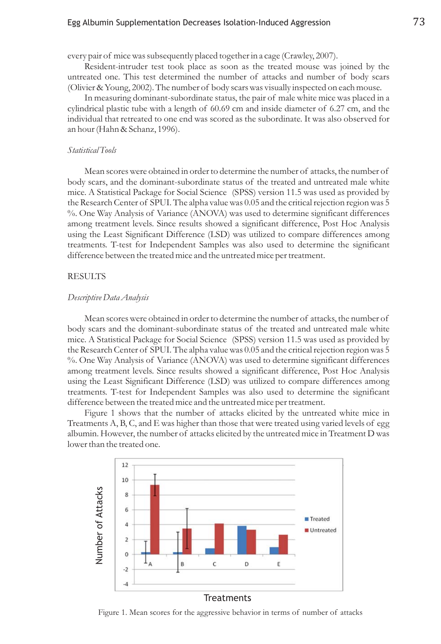# Egg Albumin Supplementation Decreases Isolation-Induced Aggression  $\qquad \qquad \, 73$

every pair of mice was subsequently placed together in a cage (Crawley, 2007).

Resident-intruder test took place as soon as the treated mouse was joined by the untreated one. This test determined the number of attacks and number of body scars (Olivier & Young, 2002). The number of body scars was visually inspected on each mouse.

In measuring dominant-subordinate status, the pair of male white mice was placed in a cylindrical plastic tube with a length of 60.69 cm and inside diameter of 6.27 cm, and the individual that retreated to one end was scored as the subordinate. It was also observed for an hour (Hahn & Schanz, 1996).

#### *Statistical Tools*

Mean scores were obtained in order to determine the number of attacks, the number of body scars, and the dominant-subordinate status of the treated and untreated male white mice. A Statistical Package for Social Science (SPSS) version 11.5 was used as provided by the Research Center of SPUI. The alpha value was 0.05 and the critical rejection region was 5 %. One Way Analysis of Variance (ANOVA) was used to determine significant differences among treatment levels. Since results showed a significant difference, Post Hoc Analysis using the Least Significant Difference (LSD) was utilized to compare differences among treatments. T-test for Independent Samples was also used to determine the significant difference between the treated mice and the untreated mice per treatment.

#### **RESULTS**

#### *Descriptive Data Analysis*

Mean scores were obtained in order to determine the number of attacks, the number of body scars and the dominant-subordinate status of the treated and untreated male white mice. A Statistical Package for Social Science (SPSS) version 11.5 was used as provided by the Research Center of SPUI. The alpha value was 0.05 and the critical rejection region was 5 %. One Way Analysis of Variance (ANOVA) was used to determine significant differences among treatment levels. Since results showed a significant difference, Post Hoc Analysis using the Least Significant Difference (LSD) was utilized to compare differences among treatments. T-test for Independent Samples was also used to determine the significant difference between the treated mice and the untreated mice per treatment.

Figure 1 shows that the number of attacks elicited by the untreated white mice in Treatments  $A$ ,  $B$ ,  $C$ , and  $E$  was higher than those that were treated using varied levels of egg albumin. However, the number of attacks elicited by the untreated mice in Treatment D was lower than the treated one.

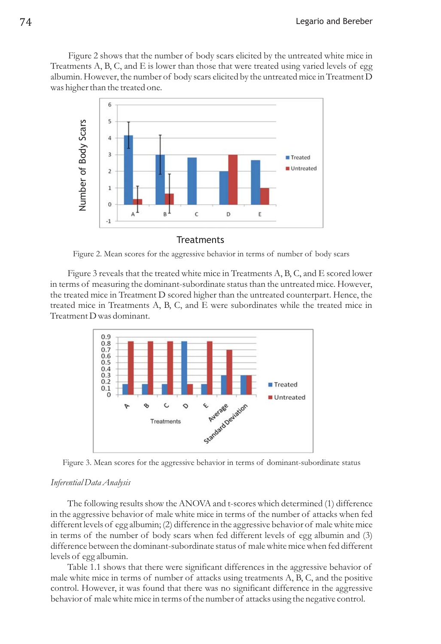Figure 2 shows that the number of body scars elicited by the untreated white mice in Treatments  $A$ ,  $B$ ,  $C$ , and  $E$  is lower than those that were treated using varied levels of egg albumin. However, the number of body scars elicited by the untreated mice in Treatment D was higher than the treated one.



Figure 2. Mean scores for the aggressive behavior in terms of number of body scars

Figure 3 reveals that the treated white mice in Treatments  $A, B, C$ , and  $E$  scored lower in terms of measuring the dominant-subordinate status than the untreated mice. However, the treated mice in Treatment D scored higher than the untreated counterpart. Hence, the treated mice in Treatments A, B, C, and E were subordinates while the treated mice in Treatment D was dominant.



Figure 3. Mean scores for the aggressive behavior in terms of dominant-subordinate status

### *Inferential Data Analysis*

The following results show the ANOVA and t-scores which determined (1) difference in the aggressive behavior of male white mice in terms of the number of attacks when fed different levels of egg albumin; (2) difference in the aggressive behavior of male white mice in terms of the number of body scars when fed different levels of egg albumin and (3) difference between the dominant-subordinate status of male white mice when fed different levels of egg albumin.

Table 1.1 shows that there were significant differences in the aggressive behavior of male white mice in terms of number of attacks using treatments  $A$ ,  $B$ ,  $C$ , and the positive control. However, it was found that there was no significant difference in the aggressive behavior of male white mice in terms of the number of attacks using the negative control.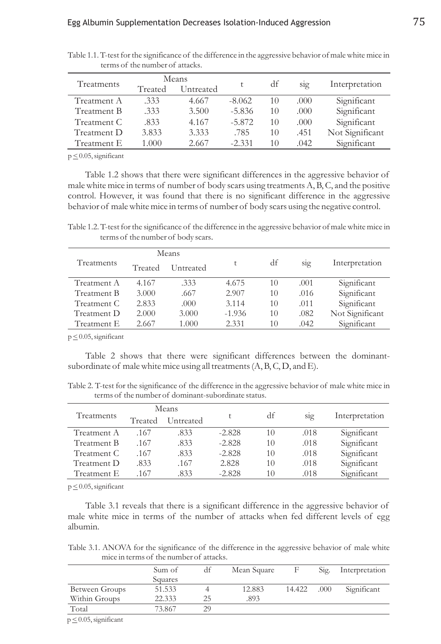| Treatments  | Means   |           |          | df |                  | Interpretation  |
|-------------|---------|-----------|----------|----|------------------|-----------------|
|             | Treated | Untreated | t        |    | S <sub>1</sub> g |                 |
| Treatment A | .333    | 4.667     | $-8.062$ | 10 | .000             | Significant     |
| Treatment B | .333    | 3.500     | $-5.836$ | 10 | .000             | Significant     |
| Treatment C | .833    | 4.167     | $-5.872$ | 10 | .000.            | Significant     |
| Treatment D | 3.833   | 3.333     | .785     | 10 | .451             | Not Significant |
| Treatment E | 1.000   | 2.667     | $-2.331$ | 10 | .042             | Significant     |

Table 1.1. T-test for the significance of the difference in the aggressive behavior of male white mice in terms of the number of attacks.

 $p \leq 0.05$ , significant

Table 1.2 shows that there were significant differences in the aggressive behavior of male white mice in terms of number of body scars using treatments A, B, C, and the positive control. However, it was found that there is no significant difference in the aggressive behavior of male white mice in terms of number of body scars using the negative control.

Table 1.2. T-test for the significance of the difference in the aggressive behavior of male white mice in terms of the number of body scars.

|             |         | Means     |          |    |      |                 |
|-------------|---------|-----------|----------|----|------|-----------------|
| Treatments  | Treated | Untreated |          | df | sig  | Interpretation  |
| Treatment A | 4.167   | .333      | 4.675    | 10 | .001 | Significant     |
| Treatment B | 3.000   | .667      | 2.907    | 10 | .016 | Significant     |
| Treatment C | 2.833   | .000      | 3.114    | 10 | .011 | Significant     |
| Treatment D | 2.000   | 3.000     | $-1.936$ | 10 | .082 | Not Significant |
| Treatment E | 2.667   | 1.000     | 2.331    | 10 | .042 | Significant     |

 $p \leq 0.05$ , significant

Table 2 shows that there were significant differences between the dominantsubordinate of male white mice using all treatments  $(A, B, C, D, and E)$ .

Table 2. T-test for the significance of the difference in the aggressive behavior of male white mice in terms of the number of dominant-subordinate status.

| Means<br>Treatments |         |           |          |    |      |                |
|---------------------|---------|-----------|----------|----|------|----------------|
|                     | Treated | Untreated |          | df | sig  | Interpretation |
| Treatment A         | .167    | .833      | $-2.828$ | 10 | .018 | Significant    |
| Treatment B         | .167    | .833      | $-2.828$ | 10 | .018 | Significant    |
| Treatment C         | .167    | .833      | $-2.828$ | 10 | .018 | Significant    |
| Treatment D         | .833    | .167      | 2.828    | 10 | .018 | Significant    |
| Treatment E         | .167    | 833       | $-2.828$ | 10 | .018 | Significant    |

 $p \leq 0.05$ , significant

Table 3.1 reveals that there is a significant difference in the aggressive behavior of male white mice in terms of the number of attacks when fed different levels of egg albumin.

Table 3.1. ANOVA for the significance of the difference in the aggressive behavior of male white mice in terms of the number of attacks.

|                | Sum of  | df | Mean Square |        | Sig. | Interpretation |
|----------------|---------|----|-------------|--------|------|----------------|
|                | Squares |    |             |        |      |                |
| Between Groups | 51.533  |    | 12.883      | 14.422 | .000 | Significant    |
| Within Groups  | 22.333  | 25 | .893        |        |      |                |
| Total          | 73.867  | 29 |             |        |      |                |

 $p \leq 0.05$ , significant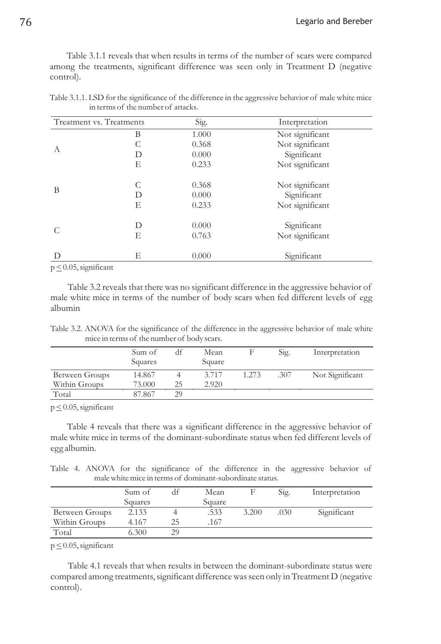Table 3.1.1 reveals that when results in terms of the number of scars were compared among the treatments, significant difference was seen only in Treatment D (negative control).

| Treatment vs. Treatments |        | Sig.           | Interpretation                 |
|--------------------------|--------|----------------|--------------------------------|
|                          | В      | 1.000          | Not significant                |
|                          |        | 0.368          | Not significant                |
| A                        | D      | 0.000          | Significant                    |
|                          | Е      | 0.233          | Not significant                |
| B                        | C<br>D | 0.368<br>0.000 | Not significant<br>Significant |
|                          | Е      | 0.233          | Not significant                |
|                          | D      | 0.000          | Significant                    |
|                          | Е      | 0.763          | Not significant                |
| D                        | Е      | 0.000          | Significant                    |

Table 3.1.1. LSD for the significance of the difference in the aggressive behavior of male white mice in terms of the number of attacks.

 $p \leq 0.05$ , significant

Table 3.2 reveals that there was no significant difference in the aggressive behavior of male white mice in terms of the number of body scars when fed different levels of egg albumin

Table 3.2. ANOVA for the significance of the difference in the aggressive behavior of male white mice in terms of the number of body scars.

|                | Sum of<br>Squares | df | Mean<br>Square |       | Sig. | Interpretation  |
|----------------|-------------------|----|----------------|-------|------|-----------------|
| Between Groups | 14.867            |    | 3.717          | 1.273 | .307 | Not Significant |
| Within Groups  | 73.000            | 25 | 2.920          |       |      |                 |
| Total          | 87.867            | 29 |                |       |      |                 |

 $p \leq 0.05$ , significant

Table 4 reveals that there was a significant difference in the aggressive behavior of male white mice in terms of the dominant-subordinate status when fed different levels of egg albumin.

Table 4. ANOVA for the significance of the difference in the aggressive behavior of male white mice in terms of dominant-subordinate status.

|                | Sum of  |    | Mean   |       | Sig. | Interpretation |
|----------------|---------|----|--------|-------|------|----------------|
|                | Squares |    | Square |       |      |                |
| Between Groups | 2.133   |    | .533   | 3.200 | .030 | Significant    |
| Within Groups  | 4.167   | 25 | .167   |       |      |                |
| Total          | 6.300   | 29 |        |       |      |                |

 $p \leq 0.05$ , significant

Table 4.1 reveals that when results in between the dominant-subordinate status were compared among treatments, significant difference was seen only in Treatment D (negative control).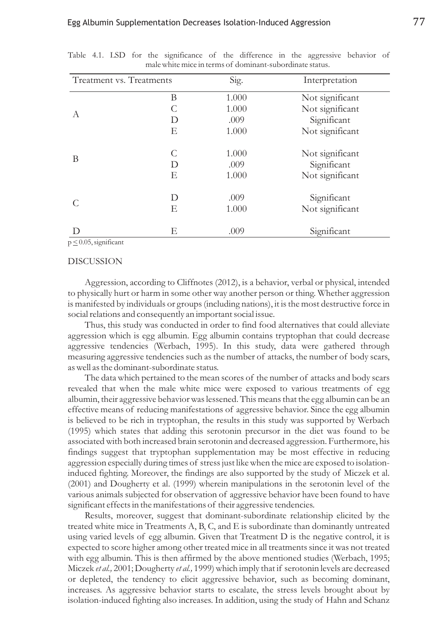| Treatment vs. Treatments |   | Sig.  | Interpretation  |
|--------------------------|---|-------|-----------------|
|                          | B | 1.000 | Not significant |
|                          | C | 1.000 | Not significant |
| A                        | D | .009  | Significant     |
|                          | E | 1.000 | Not significant |
|                          | C | 1.000 | Not significant |
| B                        | D | .009  | Significant     |
|                          | E | 1.000 | Not significant |
|                          | D | .009  | Significant     |
|                          | E | 1.000 | Not significant |
| D                        | Е | .009  | Significant     |

Table 4.1. LSD for the significance of the difference in the aggressive behavior of male white mice in terms of dominant-subordinate status.

 $p \leq 0.05$ , significant

#### DISCUSSION

Aggression, according to Cliffnotes (2012), is a behavior, verbal or physical, intended to physically hurt or harm in some other way another person or thing. Whether aggression is manifested by individuals or groups (including nations), it is the most destructive force in social relations and consequently an important social issue.

Thus, this study was conducted in order to find food alternatives that could alleviate aggression which is egg albumin. Egg albumin contains tryptophan that could decrease aggressive tendencies (Werbach, 1995). In this study, data were gathered through measuring aggressive tendencies such as the number of attacks, the number of body scars, as well as the dominant-subordinate status.

The data which pertained to the mean scores of the number of attacks and body scars revealed that when the male white mice were exposed to various treatments of egg albumin, their aggressive behavior was lessened. This means that the egg albumin can be an effective means of reducing manifestations of aggressive behavior. Since the egg albumin is believed to be rich in tryptophan, the results in this study was supported by Werbach (1995) which states that adding this serotonin precursor in the diet was found to be associated with both increased brain serotonin and decreased aggression. Furthermore, his findings suggest that tryptophan supplementation may be most effective in reducing aggression especially during times of stress just like when the mice are exposed to isolationinduced fighting. Moreover, the findings are also supported by the study of Miczek et al. (2001) and Dougherty et al. (1999) wherein manipulations in the serotonin level of the various animals subjected for observation of aggressive behavior have been found to have significant effects in the manifestations of their aggressive tendencies.

Results, moreover, suggest that dominant-subordinate relationship elicited by the treated white mice in Treatments A, B, C, and E is subordinate than dominantly untreated using varied levels of egg albumin. Given that Treatment D is the negative control, it is expected to score higher among other treated mice in all treatments since it was not treated with egg albumin. This is then affirmed by the above mentioned studies (Werbach, 1995; Miczek et al., 2001; Dougherty et al., 1999) which imply that if serotonin levels are decreased or depleted, the tendency to elicit aggressive behavior, such as becoming dominant, increases. As aggressive behavior starts to escalate, the stress levels brought about by isolation-induced fighting also increases. In addition, using the study of Hahn and Schanz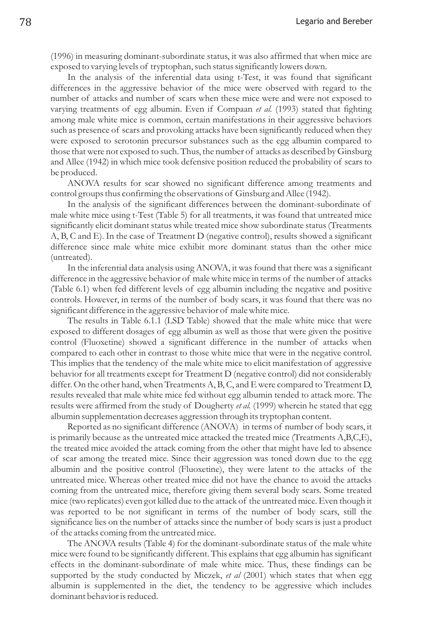(1996) in measuring dominant-subordinate status, it was also affirmed that when mice are exposed to varying levels of tryptophan, such status significantly lowers down.

In the analysis of the inferential data using t-Test, it was found that significant differences in the aggressive behavior of the mice were observed with regard to the number of attacks and number of scars when these mice were and were not exposed to varying treatments of egg albumin. Even if Compaan et al. (1993) stated that fighting among male white mice is common, certain manifestations in their aggressive behaviors such as presence of scars and provoking attacks have been significantly reduced when they were exposed to serotonin precursor substances such as the egg albumin compared to those that were not exposed to such. Thus, the number of attacks as described by Ginsburg and Allee (1942) in which mice took defensive position reduced the probability of scars to be produced.

ANOVA results for scar showed no significant difference among treatments and control groups thus confirming the observations of Ginsburg and Allee (1942).

In the analysis of the significant differences between the dominant-subordinate of male white mice using t-Test (Table 5) for all treatments, it was found that untreated mice significantly elicit dominant status while treated mice show subordinate status (Treatments A, B, C and E). In the case of Treatment D (negative control), results showed a significant difference since male white mice exhibit more dominant status than the other mice (untreated).

In the inferential data analysis using ANOVA, it was found that there was a significant difference in the aggressive behavior of male white mice in terms of the number of attacks (Table 6.1) when fed different levels of egg albumin including the negative and positive controls. However, in terms of the number of body scars, it was found that there was no significant difference in the aggressive behavior of male white mice.

The results in Table 6.1.1 (LSD Table) showed that the male white mice that were exposed to different dosages of egg albumin as well as those that were given the positive control (Fluoxetine) showed a significant difference in the number of attacks when compared to each other in contrast to those white mice that were in the negative control. This implies that the tendency of the male white mice to elicit manifestation of aggressive behavior for all treatments except for Treatment D (negative control) did not considerably differ. On the other hand, when Treatments A, B, C, and E were compared to Treatment D, results revealed that male white mice fed without egg albumin tended to attack more. The results were affirmed from the study of Dougherty *et al.* (1999) wherein he stated that egg albumin supplementation decreases aggression through its tryptophan content.

Reported as no significant difference (ANOVA) in terms of number of body scars, it is primarily because as the untreated mice attacked the treated mice (Treatments A,B,C,E), the treated mice avoided the attack coming from the other that might have led to absence of scar among the treated mice. Since their aggression was toned down due to the egg albumin and the positive control (Fluoxetine), they were latent to the attacks of the untreated mice. Whereas other treated mice did not have the chance to avoid the attacks coming from the untreated mice, therefore giving them several body scars. Some treated mice (two replicates) even got killed due to the attack of the untreated mice. Even though it was reported to be not significant in terms of the number of body scars, still the significance lies on the number of attacks since the number of body scars is just a product of the attacks coming from the untreated mice.

The ANOVA results (Table 4) for the dominant-subordinate status of the male white mice were found to be significantly different. This explains that egg albumin has significant effects in the dominant-subordinate of male white mice. Thus, these findings can be supported by the study conducted by Miczek, *et al* (2001) which states that when egg albumin is supplemented in the diet, the tendency to be aggressive which includes dominant behavior is reduced.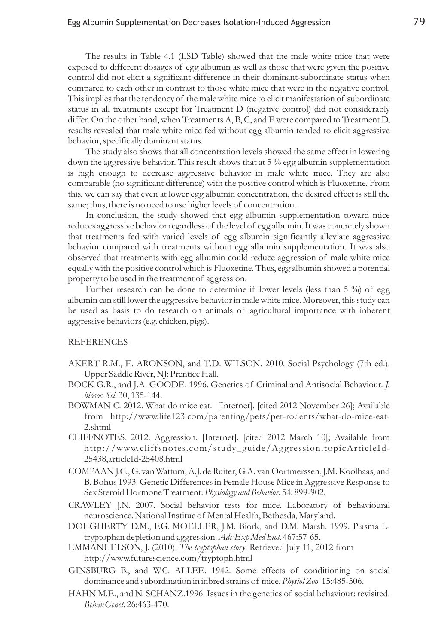The results in Table 4.1 (LSD Table) showed that the male white mice that were exposed to different dosages of egg albumin as well as those that were given the positive control did not elicit a significant difference in their dominant-subordinate status when compared to each other in contrast to those white mice that were in the negative control. This implies that the tendency of the male white mice to elicit manifestation of subordinate status in all treatments except for Treatment D (negative control) did not considerably differ. On the other hand, when Treatments  $A$ ,  $B$ ,  $C$ , and  $E$  were compared to Treatment  $D$ , results revealed that male white mice fed without egg albumin tended to elicit aggressive behavior, specifically dominant status.

The study also shows that all concentration levels showed the same effect in lowering down the aggressive behavior. This result shows that at 5 % egg albumin supplementation is high enough to decrease aggressive behavior in male white mice. They are also comparable (no significant difference) with the positive control which is Fluoxetine. From this, we can say that even at lower egg albumin concentration, the desired effect is still the same; thus, there is no need to use higher levels of concentration.

In conclusion, the study showed that egg albumin supplementation toward mice reduces aggressive behavior regardless of the level of egg albumin. It was concretely shown that treatments fed with varied levels of egg albumin significantly alleviate aggressive behavior compared with treatments without egg albumin supplementation. It was also observed that treatments with egg albumin could reduce aggression of male white mice equally with the positive control which is Fluoxetine. Thus, egg albumin showed a potential property to be used in the treatment of aggression.

Further research can be done to determine if lower levels (less than  $5\%$ ) of egg albumin can still lower the aggressive behavior in male white mice. Moreover, this study can be used as basis to do research on animals of agricultural importance with inherent aggressive behaviors (e.g. chicken, pigs).

# REFERENCES

- AKERT R.M., E. ARONSON, and T.D. WILSON. 2010. Social Psychology (7th ed.). Upper Saddle River, NJ: Prentice Hall.
- BOCK G.R., and J.A. GOODE. 1996. Genetics of Criminal and Antisocial Behaviour. *J. biosoc. Sci.* 30, 135-144.
- BOWMAN C. 2012. What do mice eat. [Internet]. [cited 2012 November 26]; Available from http://www.life123.com/parenting/pets/pet-rodents/what-do-mice-eat-2.shtml
- CLIFFNOTES. 2012. Aggression. [Internet]. [cited 2012 March 10]; Available from http://www.cliffsnotes.com/study\_guide/Ag gression.topicArticleId-25438,articleId-25408.html
- COMPAAN J.C., G. van Wattum, A.J. de Ruiter, G.A. van Oortmerssen, J.M. Koolhaas, and B. Bohus 1993. Genetic Differences in Female House Mice in Aggressive Response to Sex Steroid Hormone Treatment. Physiology and Behavior. 54: 899-902.
- CRAWLEY J.N. 2007. Social behavior tests for mice. Laboratory of behavioural neuroscience. National Institue of Mental Health, Bethesda, Maryland.
- DOUGHERTY D.M., F.G. MOELLER, J.M. Biork, and D.M. Marsh. 1999. Plasma Ltryptophan depletion and aggression. Adv Exp Med Biol. 467:57-65.
- EMMANUELSON, J. (2010). The tryptophan story. Retrieved July 11, 2012 from http://www.futurescience.com/tryptoph.html
- GINSBURG B., and W.C. ALLEE. 1942. Some effects of conditioning on social dominance and subordination in inbred strains of mice. *Physiol Zoo*. 15:485-506.
- HAHN M.E., and N. SCHANZ.1996. Issues in the genetics of social behaviour: revisited. *Behav Genet*. 26:463-470.